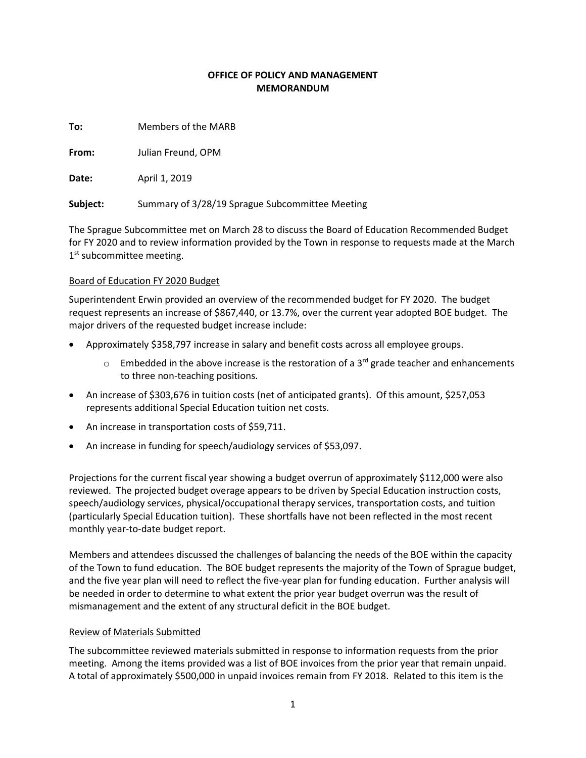## **OFFICE OF POLICY AND MANAGEMENT MEMORANDUM**

**To:** Members of the MARB

**From:** Julian Freund, OPM

**Date:** April 1, 2019

**Subject:** Summary of 3/28/19 Sprague Subcommittee Meeting

The Sprague Subcommittee met on March 28 to discuss the Board of Education Recommended Budget for FY 2020 and to review information provided by the Town in response to requests made at the March 1<sup>st</sup> subcommittee meeting.

## Board of Education FY 2020 Budget

Superintendent Erwin provided an overview of the recommended budget for FY 2020. The budget request represents an increase of \$867,440, or 13.7%, over the current year adopted BOE budget. The major drivers of the requested budget increase include:

- Approximately \$358,797 increase in salary and benefit costs across all employee groups.
	- $\circ$  Embedded in the above increase is the restoration of a 3<sup>rd</sup> grade teacher and enhancements to three non-teaching positions.
- An increase of \$303,676 in tuition costs (net of anticipated grants). Of this amount, \$257,053 represents additional Special Education tuition net costs.
- An increase in transportation costs of \$59,711.
- An increase in funding for speech/audiology services of \$53,097.

Projections for the current fiscal year showing a budget overrun of approximately \$112,000 were also reviewed. The projected budget overage appears to be driven by Special Education instruction costs, speech/audiology services, physical/occupational therapy services, transportation costs, and tuition (particularly Special Education tuition). These shortfalls have not been reflected in the most recent monthly year-to-date budget report.

Members and attendees discussed the challenges of balancing the needs of the BOE within the capacity of the Town to fund education. The BOE budget represents the majority of the Town of Sprague budget, and the five year plan will need to reflect the five-year plan for funding education. Further analysis will be needed in order to determine to what extent the prior year budget overrun was the result of mismanagement and the extent of any structural deficit in the BOE budget.

## Review of Materials Submitted

The subcommittee reviewed materials submitted in response to information requests from the prior meeting. Among the items provided was a list of BOE invoices from the prior year that remain unpaid. A total of approximately \$500,000 in unpaid invoices remain from FY 2018. Related to this item is the